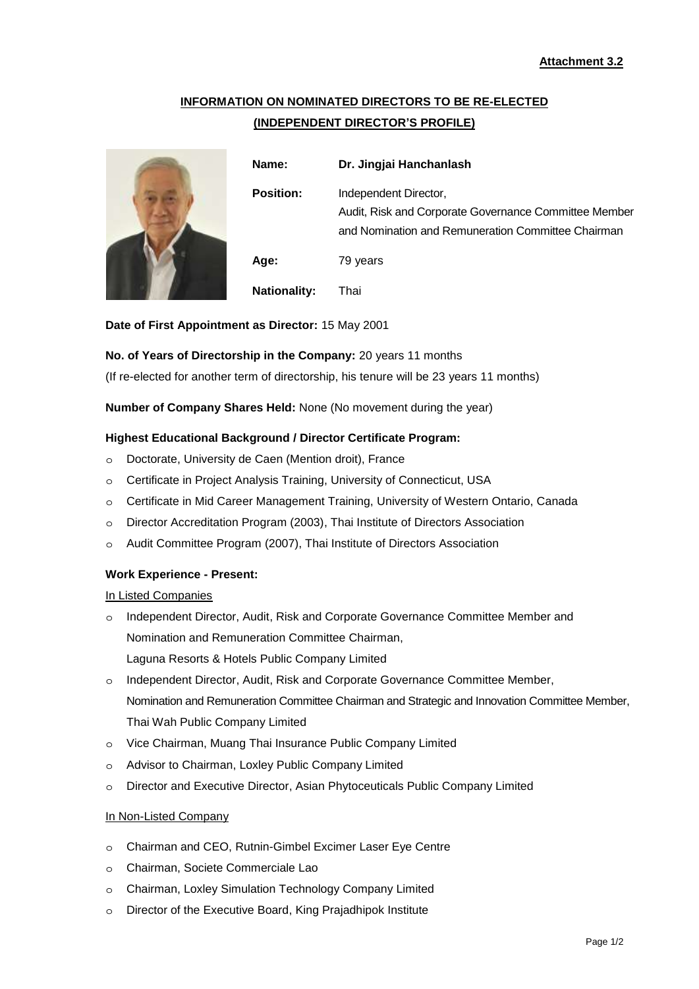# **INFORMATION ON NOMINATED DIRECTORS TO BE RE-ELECTED (INDEPENDENT DIRECTOR'S PROFILE)**



| Name:               | Dr. Jingjai Hanchanlash                                                                                                              |
|---------------------|--------------------------------------------------------------------------------------------------------------------------------------|
| <b>Position:</b>    | Independent Director,<br>Audit, Risk and Corporate Governance Committee Member<br>and Nomination and Remuneration Committee Chairman |
| Age:                | 79 years                                                                                                                             |
| <b>Nationality:</b> | Thai                                                                                                                                 |

**Date of First Appointment as Director:** 15 May 2001

# **No. of Years of Directorship in the Company:** 20 years 11 months

(If re-elected for another term of directorship, his tenure will be 23 years 11 months)

**Number of Company Shares Held:** None (No movement during the year)

# **Highest Educational Background / Director Certificate Program:**

- ๐ Doctorate, University de Caen (Mention droit), France
- ๐ Certificate in Project Analysis Training, University of Connecticut, USA
- ๐ Certificate in Mid Career Management Training, University of Western Ontario, Canada
- ๐ Director Accreditation Program (2003), Thai Institute of Directors Association
- ๐ Audit Committee Program (2007), Thai Institute of Directors Association

#### **Work Experience - Present:**

#### In Listed Companies

- ๐ Independent Director, Audit, Risk and Corporate Governance Committee Member and Nomination and Remuneration Committee Chairman, Laguna Resorts & Hotels Public Company Limited
- ๐ Independent Director, Audit, Risk and Corporate Governance Committee Member, Nomination and Remuneration Committee Chairman and Strategic and Innovation Committee Member, Thai Wah Public Company Limited
- ๐ Vice Chairman, Muang Thai Insurance Public Company Limited
- ๐ Advisor to Chairman, Loxley Public Company Limited
- ๐ Director and Executive Director, Asian Phytoceuticals Public Company Limited

#### In Non-Listed Company

- ๐ Chairman and CEO, Rutnin-Gimbel Excimer Laser Eye Centre
- ๐ Chairman, Societe Commerciale Lao
- ๐ Chairman, Loxley Simulation Technology Company Limited
- ๐ Director of the Executive Board, King Prajadhipok Institute